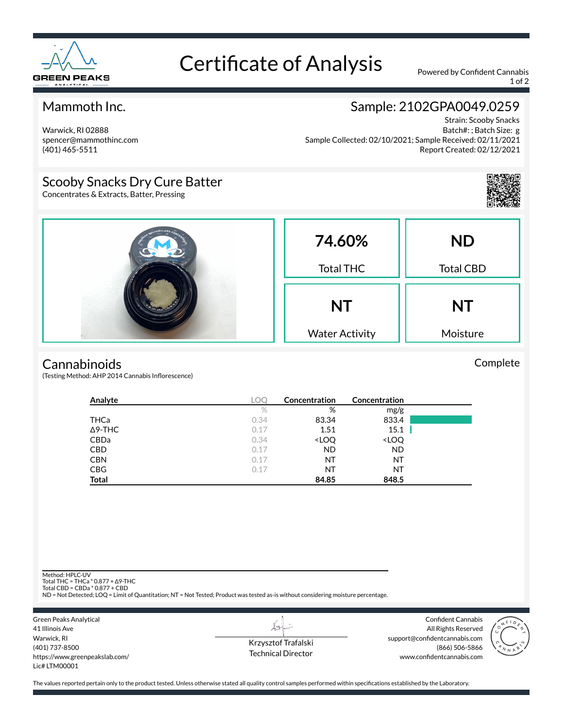

# Certificate of Analysis Powered by Confident Cannabis

1 of 2

## Mammoth Inc.

Warwick, RI 02888 spencer@mammothinc.com (401) 465-5511

## Sample: 2102GPA0049.0259

Strain: Scooby Snacks Batch#: ; Batch Size: g Sample Collected: 02/10/2021; Sample Received: 02/11/2021 Report Created: 02/12/2021

## Scooby Snacks Dry Cure Batter

Concentrates & Extracts, Batter, Pressing



|  | 74.60%<br><b>Total THC</b>         | <b>ND</b><br><b>Total CBD</b> |
|--|------------------------------------|-------------------------------|
|  | <b>NT</b><br><b>Water Activity</b> | <b>NT</b><br>Moisture         |

#### **Cannabinoids**

(Testing Method: AHP 2014 Cannabis Inflorescence)

| Analyte        | LOC  | Concentration                                            | Concentration                |  |
|----------------|------|----------------------------------------------------------|------------------------------|--|
|                | $\%$ | %                                                        | mg/g                         |  |
| THCa           | 0.34 | 83.34                                                    | 833.4                        |  |
| $\Delta$ 9-THC | 0.17 | 1.51                                                     | 15.1                         |  |
| <b>CBDa</b>    | 0.34 | <loq< td=""><td><loq< td=""><td></td></loq<></td></loq<> | <loq< td=""><td></td></loq<> |  |
| <b>CBD</b>     | 0.17 | <b>ND</b>                                                | <b>ND</b>                    |  |
| <b>CBN</b>     | 0.17 | ΝT                                                       | NT                           |  |
| <b>CBG</b>     | 0.17 | ΝT                                                       | NT                           |  |
| <b>Total</b>   |      | 84.85                                                    | 848.5                        |  |

Method: HPLC-UV

Total THC = THCa \* 0.877 + ∆9-THC Total CBD = CBDa \* 0.877 + CBD

ND = Not Detected; LOQ = Limit of Quantitation; NT = Not Tested; Product was tested as-is without considering moisture percentage.



 $\lambda\star$ Krzysztof Trafalski Technical Director

Confident Cannabis All Rights Reserved support@confidentcannabis.com (866) 506-5866 www.confidentcannabis.com



The values reported pertain only to the product tested. Unless otherwise stated all quality control samples performed within specifications established by the Laboratory.